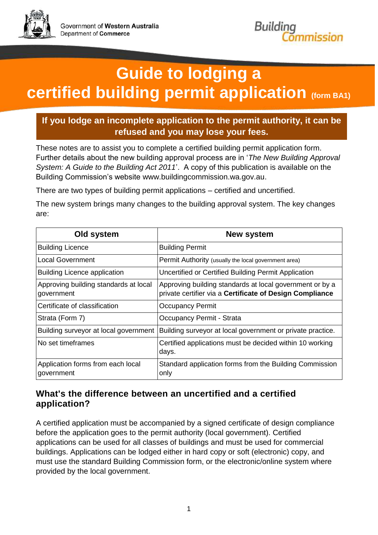



# **Guide to lodging a certified building permit application (form BA1)**

#### **If you lodge an incomplete application to the permit authority, it can be refused and you may lose your fees.**

These notes are to assist you to complete a certified building permit application form. Further details about the new building approval process are in '*The New Building Approval System: A Guide to the Building Act 2011*'. A copy of this publication is available on the Building Commission's website www.buildingcommission.wa.gov.au.

There are two types of building permit applications – certified and uncertified.

The new system brings many changes to the building approval system. The key changes are:

| Old system                                          | New system                                                                                                           |
|-----------------------------------------------------|----------------------------------------------------------------------------------------------------------------------|
| <b>Building Licence</b>                             | <b>Building Permit</b>                                                                                               |
| Local Government                                    | Permit Authority (usually the local government area)                                                                 |
| <b>Building Licence application</b>                 | Uncertified or Certified Building Permit Application                                                                 |
| Approving building standards at local<br>government | Approving building standards at local government or by a<br>private certifier via a Certificate of Design Compliance |
| Certificate of classification                       | <b>Occupancy Permit</b>                                                                                              |
| Strata (Form 7)                                     | Occupancy Permit - Strata                                                                                            |
| Building surveyor at local government               | Building surveyor at local government or private practice.                                                           |
| No set timeframes                                   | Certified applications must be decided within 10 working<br>days.                                                    |
| Application forms from each local<br>government     | Standard application forms from the Building Commission<br>only                                                      |

#### **What's the difference between an uncertified and a certified application?**

A certified application must be accompanied by a signed certificate of design compliance before the application goes to the permit authority (local government). Certified applications can be used for all classes of buildings and must be used for commercial buildings. Applications can be lodged either in hard copy or soft (electronic) copy, and must use the standard Building Commission form, or the electronic/online system where provided by the local government.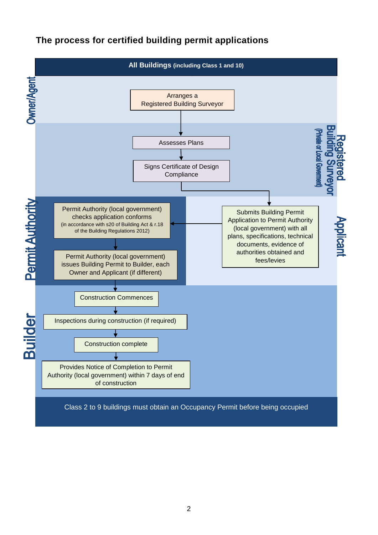#### **The process for certified building permit applications**

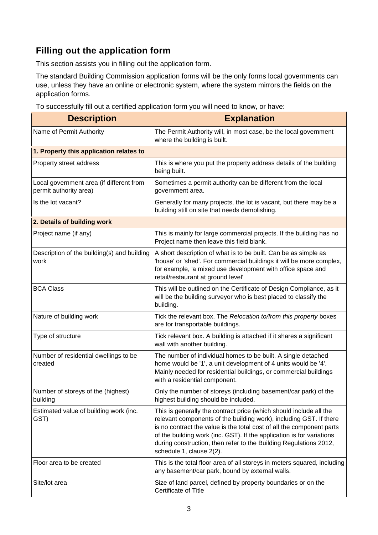### **Filling out the application form**

This section assists you in filling out the application form.

The standard Building Commission application forms will be the only forms local governments can use, unless they have an online or electronic system, where the system mirrors the fields on the application forms.

To successfully fill out a certified application form you will need to know, or have:

| <b>Description</b>                                                 | <b>Explanation</b>                                                                                                                                                                                                                                                                                                                                                                          |
|--------------------------------------------------------------------|---------------------------------------------------------------------------------------------------------------------------------------------------------------------------------------------------------------------------------------------------------------------------------------------------------------------------------------------------------------------------------------------|
| Name of Permit Authority                                           | The Permit Authority will, in most case, be the local government<br>where the building is built.                                                                                                                                                                                                                                                                                            |
| 1. Property this application relates to                            |                                                                                                                                                                                                                                                                                                                                                                                             |
| Property street address                                            | This is where you put the property address details of the building<br>being built.                                                                                                                                                                                                                                                                                                          |
| Local government area (if different from<br>permit authority area) | Sometimes a permit authority can be different from the local<br>government area.                                                                                                                                                                                                                                                                                                            |
| Is the lot vacant?                                                 | Generally for many projects, the lot is vacant, but there may be a<br>building still on site that needs demolishing.                                                                                                                                                                                                                                                                        |
| 2. Details of building work                                        |                                                                                                                                                                                                                                                                                                                                                                                             |
| Project name (if any)                                              | This is mainly for large commercial projects. If the building has no<br>Project name then leave this field blank.                                                                                                                                                                                                                                                                           |
| Description of the building(s) and building<br>work                | A short description of what is to be built. Can be as simple as<br>'house' or 'shed'. For commercial buildings it will be more complex,<br>for example, 'a mixed use development with office space and<br>retail/restaurant at ground level'                                                                                                                                                |
| <b>BCA Class</b>                                                   | This will be outlined on the Certificate of Design Compliance, as it<br>will be the building surveyor who is best placed to classify the<br>building.                                                                                                                                                                                                                                       |
| Nature of building work                                            | Tick the relevant box. The Relocation to/from this property boxes<br>are for transportable buildings.                                                                                                                                                                                                                                                                                       |
| Type of structure                                                  | Tick relevant box. A building is attached if it shares a significant<br>wall with another building.                                                                                                                                                                                                                                                                                         |
| Number of residential dwellings to be<br>created                   | The number of individual homes to be built. A single detached<br>home would be '1', a unit development of 4 units would be '4'.<br>Mainly needed for residential buildings, or commercial buildings<br>with a residential component.                                                                                                                                                        |
| Number of storeys of the (highest)<br>building                     | Only the number of storeys (including basement/car park) of the<br>highest building should be included.                                                                                                                                                                                                                                                                                     |
| Estimated value of building work (inc.<br>GST)                     | This is generally the contract price (which should include all the<br>relevant components of the building work), including GST. If there<br>is no contract the value is the total cost of all the component parts<br>of the building work (inc. GST). If the application is for variations<br>during construction, then refer to the Building Regulations 2012,<br>schedule 1, clause 2(2). |
| Floor area to be created                                           | This is the total floor area of all storeys in meters squared, including<br>any basement/car park, bound by external walls.                                                                                                                                                                                                                                                                 |
| Site/lot area                                                      | Size of land parcel, defined by property boundaries or on the<br>Certificate of Title                                                                                                                                                                                                                                                                                                       |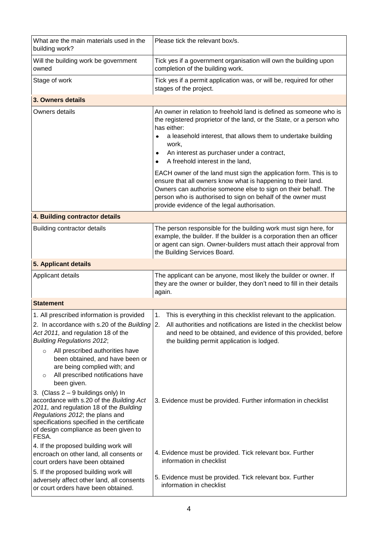| What are the main materials used in the<br>building work?                                                                                                                                                                                                       | Please tick the relevant box/s.                                                                                                                                                                                                                                                                                     |  |
|-----------------------------------------------------------------------------------------------------------------------------------------------------------------------------------------------------------------------------------------------------------------|---------------------------------------------------------------------------------------------------------------------------------------------------------------------------------------------------------------------------------------------------------------------------------------------------------------------|--|
| Will the building work be government<br>owned                                                                                                                                                                                                                   | Tick yes if a government organisation will own the building upon<br>completion of the building work.                                                                                                                                                                                                                |  |
| Stage of work                                                                                                                                                                                                                                                   | Tick yes if a permit application was, or will be, required for other<br>stages of the project.                                                                                                                                                                                                                      |  |
| 3. Owners details                                                                                                                                                                                                                                               |                                                                                                                                                                                                                                                                                                                     |  |
| Owners details                                                                                                                                                                                                                                                  | An owner in relation to freehold land is defined as someone who is<br>the registered proprietor of the land, or the State, or a person who<br>has either:<br>a leasehold interest, that allows them to undertake building<br>work,                                                                                  |  |
|                                                                                                                                                                                                                                                                 | An interest as purchaser under a contract,<br>٠<br>A freehold interest in the land,<br>$\bullet$                                                                                                                                                                                                                    |  |
|                                                                                                                                                                                                                                                                 | EACH owner of the land must sign the application form. This is to<br>ensure that all owners know what is happening to their land.<br>Owners can authorise someone else to sign on their behalf. The<br>person who is authorised to sign on behalf of the owner must<br>provide evidence of the legal authorisation. |  |
| 4. Building contractor details                                                                                                                                                                                                                                  |                                                                                                                                                                                                                                                                                                                     |  |
| <b>Building contractor details</b>                                                                                                                                                                                                                              | The person responsible for the building work must sign here, for<br>example, the builder. If the builder is a corporation then an officer<br>or agent can sign. Owner-builders must attach their approval from<br>the Building Services Board.                                                                      |  |
| 5. Applicant details                                                                                                                                                                                                                                            |                                                                                                                                                                                                                                                                                                                     |  |
| Applicant details                                                                                                                                                                                                                                               | The applicant can be anyone, most likely the builder or owner. If<br>they are the owner or builder, they don't need to fill in their details<br>again.                                                                                                                                                              |  |
| <b>Statement</b>                                                                                                                                                                                                                                                |                                                                                                                                                                                                                                                                                                                     |  |
| 1. All prescribed information is provided<br>2. In accordance with s.20 of the Building $ 2$ .<br>Act 2011, and regulation 18 of the<br><b>Building Regulations 2012;</b>                                                                                       | 1. This is everything in this checklist relevant to the application.<br>All authorities and notifications are listed in the checklist below<br>and need to be obtained, and evidence of this provided, before<br>the building permit application is lodged.                                                         |  |
| All prescribed authorities have<br>$\circ$<br>been obtained, and have been or<br>are being complied with; and<br>All prescribed notifications have<br>$\circ$<br>been given.                                                                                    |                                                                                                                                                                                                                                                                                                                     |  |
| 3. (Class $2 - 9$ buildings only) In<br>accordance with s.20 of the Building Act<br>2011, and regulation 18 of the Building<br>Regulations 2012; the plans and<br>specifications specified in the certificate<br>of design compliance as been given to<br>FESA. | 3. Evidence must be provided. Further information in checklist                                                                                                                                                                                                                                                      |  |
| 4. If the proposed building work will<br>encroach on other land, all consents or<br>court orders have been obtained                                                                                                                                             | 4. Evidence must be provided. Tick relevant box. Further<br>information in checklist                                                                                                                                                                                                                                |  |
| 5. If the proposed building work will<br>adversely affect other land, all consents<br>or court orders have been obtained.                                                                                                                                       | 5. Evidence must be provided. Tick relevant box. Further<br>information in checklist                                                                                                                                                                                                                                |  |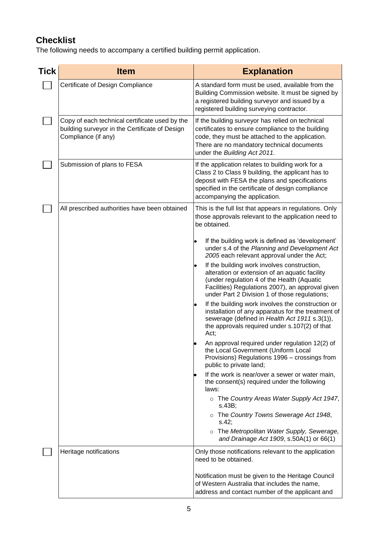## **Checklist**

The following needs to accompany a certified building permit application.

| <b>Tick</b> | <b>Item</b>                                                                                                             | <b>Explanation</b>                                                                                                                                                                                                                               |
|-------------|-------------------------------------------------------------------------------------------------------------------------|--------------------------------------------------------------------------------------------------------------------------------------------------------------------------------------------------------------------------------------------------|
|             | Certificate of Design Compliance                                                                                        | A standard form must be used, available from the<br>Building Commission website. It must be signed by<br>a registered building surveyor and issued by a<br>registered building surveying contractor.                                             |
|             | Copy of each technical certificate used by the<br>building surveyor in the Certificate of Design<br>Compliance (if any) | If the building surveyor has relied on technical<br>certificates to ensure compliance to the building<br>code, they must be attached to the application.<br>There are no mandatory technical documents<br>under the Building Act 2011.           |
|             | Submission of plans to FESA                                                                                             | If the application relates to building work for a<br>Class 2 to Class 9 building, the applicant has to<br>deposit with FESA the plans and specifications<br>specified in the certificate of design compliance<br>accompanying the application.   |
|             | All prescribed authorities have been obtained                                                                           | This is the full list that appears in regulations. Only<br>those approvals relevant to the application need to<br>be obtained.                                                                                                                   |
|             |                                                                                                                         | If the building work is defined as 'development'<br>under s.4 of the Planning and Development Act<br>2005 each relevant approval under the Act;                                                                                                  |
|             |                                                                                                                         | If the building work involves construction,<br>alteration or extension of an aquatic facility<br>(under regulation 4 of the Health (Aquatic<br>Facilities) Regulations 2007), an approval given<br>under Part 2 Division 1 of those regulations; |
|             |                                                                                                                         | If the building work involves the construction or<br>installation of any apparatus for the treatment of<br>sewerage (defined in Health Act 1911 s.3(1)),<br>the approvals required under s.107(2) of that<br>Act;                                |
|             |                                                                                                                         | An approval required under regulation 12(2) of<br>the Local Government (Uniform Local<br>Provisions) Regulations 1996 - crossings from<br>public to private land;                                                                                |
|             |                                                                                                                         | If the work is near/over a sewer or water main,<br>the consent(s) required under the following<br>laws:                                                                                                                                          |
|             |                                                                                                                         | o The Country Areas Water Supply Act 1947,<br>s.43B;                                                                                                                                                                                             |
|             |                                                                                                                         | o The Country Towns Sewerage Act 1948,<br>s.42;                                                                                                                                                                                                  |
|             |                                                                                                                         | o The Metropolitan Water Supply, Sewerage,<br>and Drainage Act 1909, s.50A(1) or 66(1)                                                                                                                                                           |
|             | Heritage notifications                                                                                                  | Only those notifications relevant to the application<br>need to be obtained.                                                                                                                                                                     |
|             |                                                                                                                         | Notification must be given to the Heritage Council<br>of Western Australia that includes the name,<br>address and contact number of the applicant and                                                                                            |